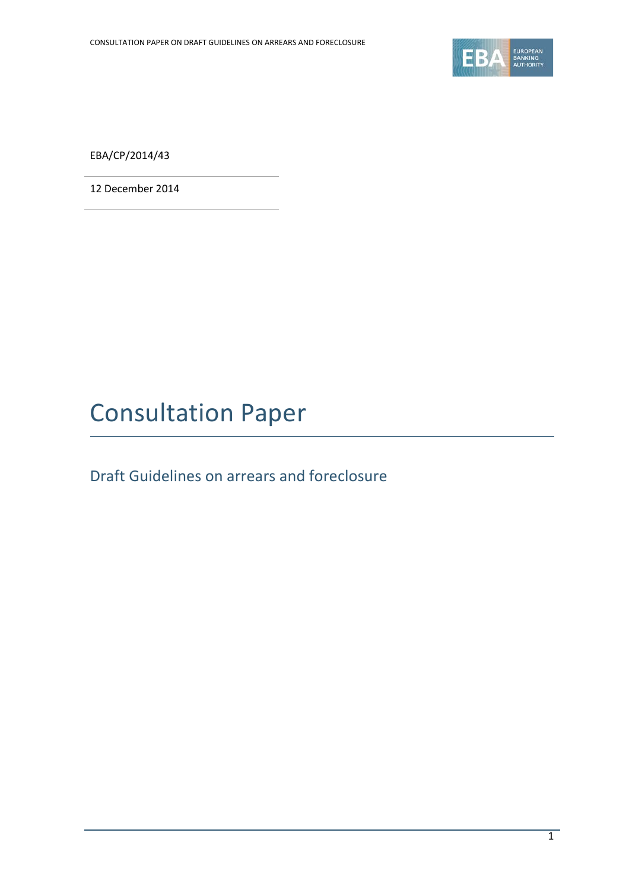

EBA/CP/2014/43

12 December 2014

# Consultation Paper

Draft Guidelines on arrears and foreclosure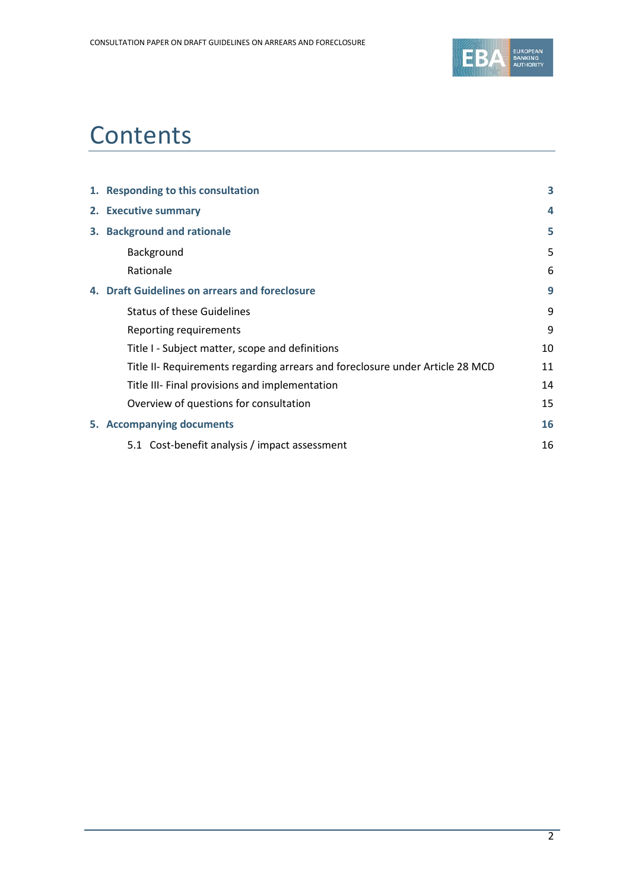

# **Contents**

| 1. Responding to this consultation                                            |    |  |  |  |  |
|-------------------------------------------------------------------------------|----|--|--|--|--|
| 2. Executive summary                                                          |    |  |  |  |  |
| 3. Background and rationale                                                   |    |  |  |  |  |
| Background                                                                    | 5  |  |  |  |  |
| Rationale                                                                     | 6  |  |  |  |  |
| 4. Draft Guidelines on arrears and foreclosure                                | 9  |  |  |  |  |
| <b>Status of these Guidelines</b>                                             | 9  |  |  |  |  |
| Reporting requirements                                                        | 9  |  |  |  |  |
| Title I - Subject matter, scope and definitions                               | 10 |  |  |  |  |
| Title II- Requirements regarding arrears and foreclosure under Article 28 MCD | 11 |  |  |  |  |
| Title III- Final provisions and implementation                                | 14 |  |  |  |  |
| Overview of questions for consultation                                        | 15 |  |  |  |  |
| 5. Accompanying documents                                                     | 16 |  |  |  |  |
| 5.1 Cost-benefit analysis / impact assessment                                 | 16 |  |  |  |  |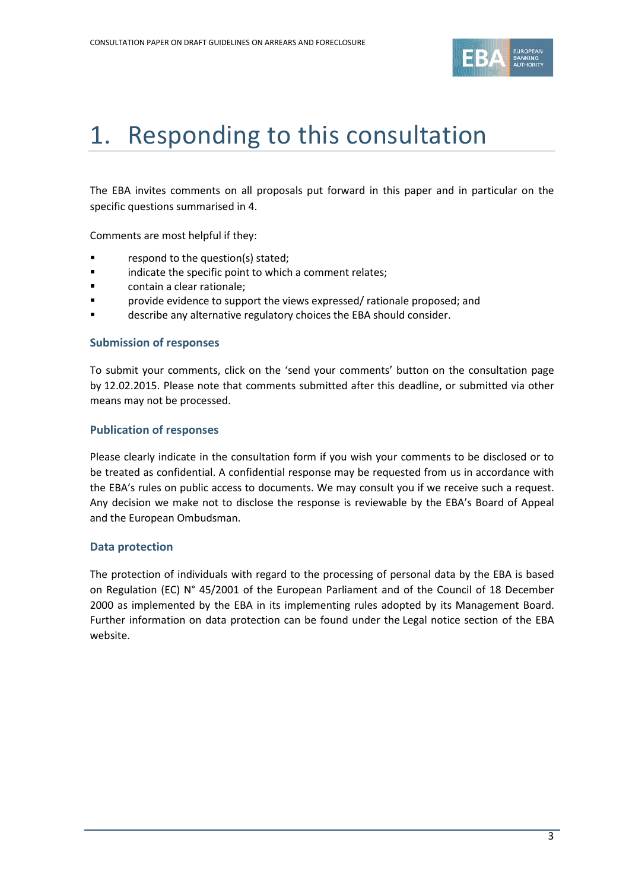

# 1. Responding to this consultation

The EBA invites comments on all proposals put forward in this paper and in particular on the specific questions summarised in 4.

Comments are most helpful if they:

- respond to the question(s) stated;
- **Example 3** indicate the specific point to which a comment relates;
- contain a clear rationale;
- provide evidence to support the views expressed/ rationale proposed; and
- describe any alternative regulatory choices the EBA should consider.

#### **Submission of responses**

To submit your comments, click on the 'send your comments' button on the consultation page by 12.02.2015. Please note that comments submitted after this deadline, or submitted via other means may not be processed.

#### **Publication of responses**

Please clearly indicate in the consultation form if you wish your comments to be disclosed or to be treated as confidential. A confidential response may be requested from us in accordance with the EBA's rules on public access to documents. We may consult you if we receive such a request. Any decision we make not to disclose the response is reviewable by the EBA's Board of Appeal and the European Ombudsman.

#### **Data protection**

The protection of individuals with regard to the processing of personal data by the EBA is based on Regulation (EC) N° 45/2001 of the European Parliament and of the Council of 18 December 2000 as implemented by the EBA in its implementing rules adopted by its Management Board. Further information on data protection can be found under the [Legal notice section](http://eba.europa.eu/legal-notice) of the EBA website.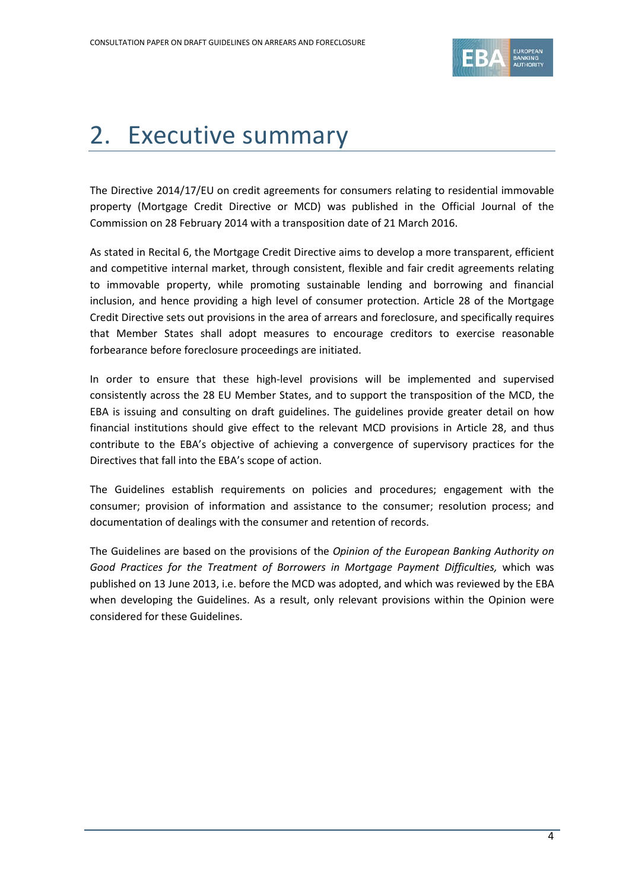

# 2. Executive summary

The Directive 2014/17/EU on credit agreements for consumers relating to residential immovable property (Mortgage Credit Directive or MCD) was published in the Official Journal of the Commission on 28 February 2014 with a transposition date of 21 March 2016.

As stated in Recital 6, the Mortgage Credit Directive aims to develop a more transparent, efficient and competitive internal market, through consistent, flexible and fair credit agreements relating to immovable property, while promoting sustainable lending and borrowing and financial inclusion, and hence providing a high level of consumer protection. Article 28 of the Mortgage Credit Directive sets out provisions in the area of arrears and foreclosure, and specifically requires that Member States shall adopt measures to encourage creditors to exercise reasonable forbearance before foreclosure proceedings are initiated.

In order to ensure that these high-level provisions will be implemented and supervised consistently across the 28 EU Member States, and to support the transposition of the MCD, the EBA is issuing and consulting on draft guidelines. The guidelines provide greater detail on how financial institutions should give effect to the relevant MCD provisions in Article 28, and thus contribute to the EBA's objective of achieving a convergence of supervisory practices for the Directives that fall into the EBA's scope of action.

The Guidelines establish requirements on policies and procedures; engagement with the consumer; provision of information and assistance to the consumer; resolution process; and documentation of dealings with the consumer and retention of records.

The Guidelines are based on the provisions of the *Opinion of the European Banking Authority on Good Practices for the Treatment of Borrowers in Mortgage Payment Difficulties,* which was published on 13 June 2013, i.e. before the MCD was adopted, and which was reviewed by the EBA when developing the Guidelines. As a result, only relevant provisions within the Opinion were considered for these Guidelines.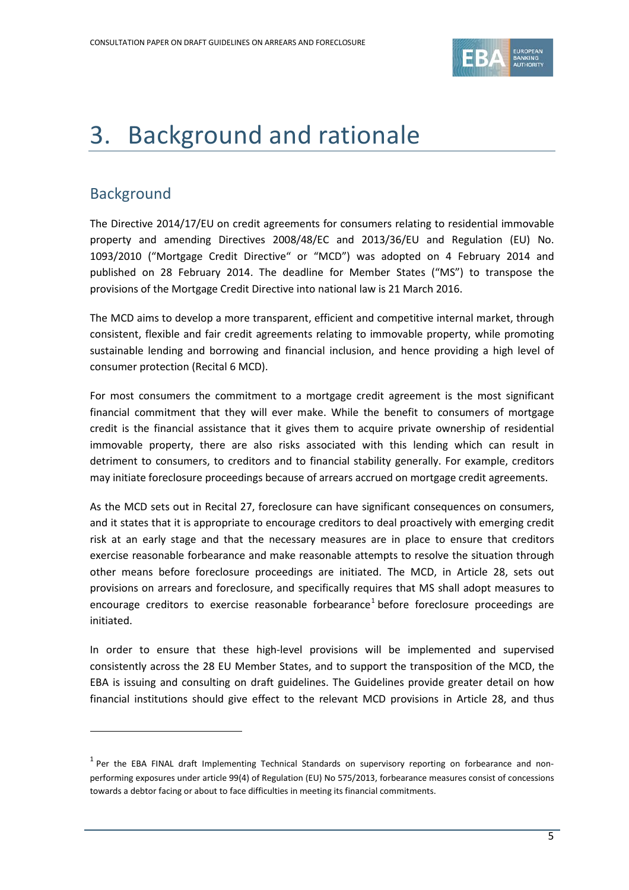

# 3. Background and rationale

# **Background**

 $\overline{a}$ 

The Directive 2014/17/EU on credit agreements for consumers relating to residential immovable property and amending Directives 2008/48/EC and 2013/36/EU and Regulation (EU) No. 1093/2010 ("Mortgage Credit Directive" or "MCD") was adopted on 4 February 2014 and published on 28 February 2014. The deadline for Member States ("MS") to transpose the provisions of the Mortgage Credit Directive into national law is 21 March 2016.

The MCD aims to develop a more transparent, efficient and competitive internal market, through consistent, flexible and fair credit agreements relating to immovable property, while promoting sustainable lending and borrowing and financial inclusion, and hence providing a high level of consumer protection (Recital 6 MCD).

For most consumers the commitment to a mortgage credit agreement is the most significant financial commitment that they will ever make. While the benefit to consumers of mortgage credit is the financial assistance that it gives them to acquire private ownership of residential immovable property, there are also risks associated with this lending which can result in detriment to consumers, to creditors and to financial stability generally. For example, creditors may initiate foreclosure proceedings because of arrears accrued on mortgage credit agreements.

As the MCD sets out in Recital 27, foreclosure can have significant consequences on consumers, and it states that it is appropriate to encourage creditors to deal proactively with emerging credit risk at an early stage and that the necessary measures are in place to ensure that creditors exercise reasonable forbearance and make reasonable attempts to resolve the situation through other means before foreclosure proceedings are initiated. The MCD, in Article 28, sets out provisions on arrears and foreclosure, and specifically requires that MS shall adopt measures to encourage creditors to exercise reasonable forbearance<sup>[1](#page-4-0)</sup> before foreclosure proceedings are initiated.

In order to ensure that these high-level provisions will be implemented and supervised consistently across the 28 EU Member States, and to support the transposition of the MCD, the EBA is issuing and consulting on draft guidelines. The Guidelines provide greater detail on how financial institutions should give effect to the relevant MCD provisions in Article 28, and thus

<span id="page-4-0"></span><sup>&</sup>lt;sup>1</sup> Per the EBA FINAL draft Implementing Technical Standards on supervisory reporting on forbearance and nonperforming exposures under article 99(4) of Regulation (EU) No 575/2013, forbearance measures consist of concessions towards a debtor facing or about to face difficulties in meeting its financial commitments.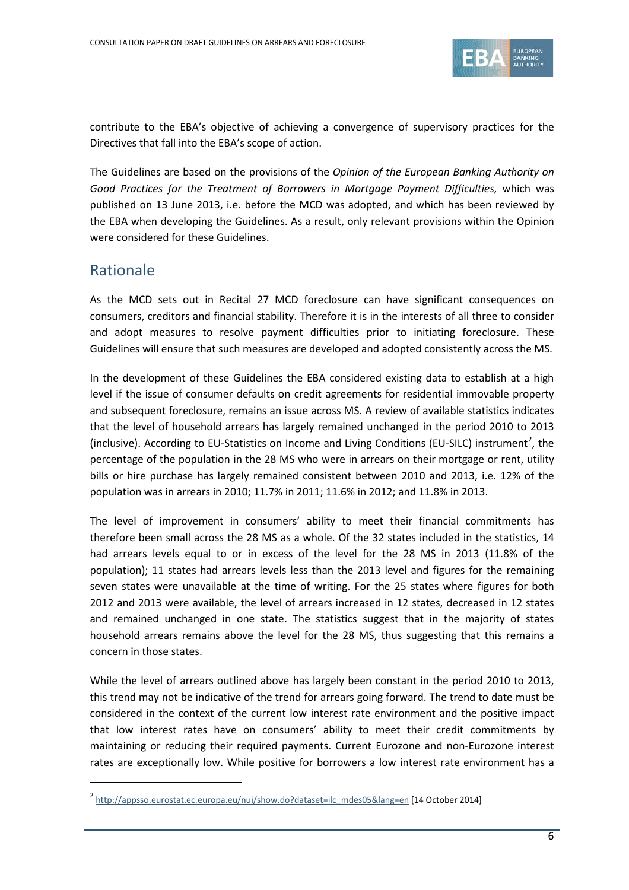

contribute to the EBA's objective of achieving a convergence of supervisory practices for the Directives that fall into the EBA's scope of action.

The Guidelines are based on the provisions of the *Opinion of the European Banking Authority on Good Practices for the Treatment of Borrowers in Mortgage Payment Difficulties,* which was published on 13 June 2013, i.e. before the MCD was adopted, and which has been reviewed by the EBA when developing the Guidelines. As a result, only relevant provisions within the Opinion were considered for these Guidelines.

# Rationale

 $\overline{a}$ 

As the MCD sets out in Recital 27 MCD foreclosure can have significant consequences on consumers, creditors and financial stability. Therefore it is in the interests of all three to consider and adopt measures to resolve payment difficulties prior to initiating foreclosure. These Guidelines will ensure that such measures are developed and adopted consistently across the MS.

In the development of these Guidelines the EBA considered existing data to establish at a high level if the issue of consumer defaults on credit agreements for residential immovable property and subsequent foreclosure, remains an issue across MS. A review of available statistics indicates that the level of household arrears has largely remained unchanged in the period 2010 to 2013 (inclusive). According to EU-Statistics on Income and Living Conditions (EU-SILC) instrument<sup>[2](#page-5-0)</sup>, the percentage of the population in the 28 MS who were in arrears on their mortgage or rent, utility bills or hire purchase has largely remained consistent between 2010 and 2013, i.e. 12% of the population was in arrears in 2010; 11.7% in 2011; 11.6% in 2012; and 11.8% in 2013.

The level of improvement in consumers' ability to meet their financial commitments has therefore been small across the 28 MS as a whole. Of the 32 states included in the statistics, 14 had arrears levels equal to or in excess of the level for the 28 MS in 2013 (11.8% of the population); 11 states had arrears levels less than the 2013 level and figures for the remaining seven states were unavailable at the time of writing. For the 25 states where figures for both 2012 and 2013 were available, the level of arrears increased in 12 states, decreased in 12 states and remained unchanged in one state. The statistics suggest that in the majority of states household arrears remains above the level for the 28 MS, thus suggesting that this remains a concern in those states.

While the level of arrears outlined above has largely been constant in the period 2010 to 2013, this trend may not be indicative of the trend for arrears going forward. The trend to date must be considered in the context of the current low interest rate environment and the positive impact that low interest rates have on consumers' ability to meet their credit commitments by maintaining or reducing their required payments. Current Eurozone and non-Eurozone interest rates are exceptionally low. While positive for borrowers a low interest rate environment has a

<span id="page-5-0"></span><sup>&</sup>lt;sup>2</sup> [http://appsso.eurostat.ec.europa.eu/nui/show.do?dataset=ilc\\_mdes05&lang=en](http://appsso.eurostat.ec.europa.eu/nui/show.do?dataset=ilc_mdes05&lang=en) [14 October 2014]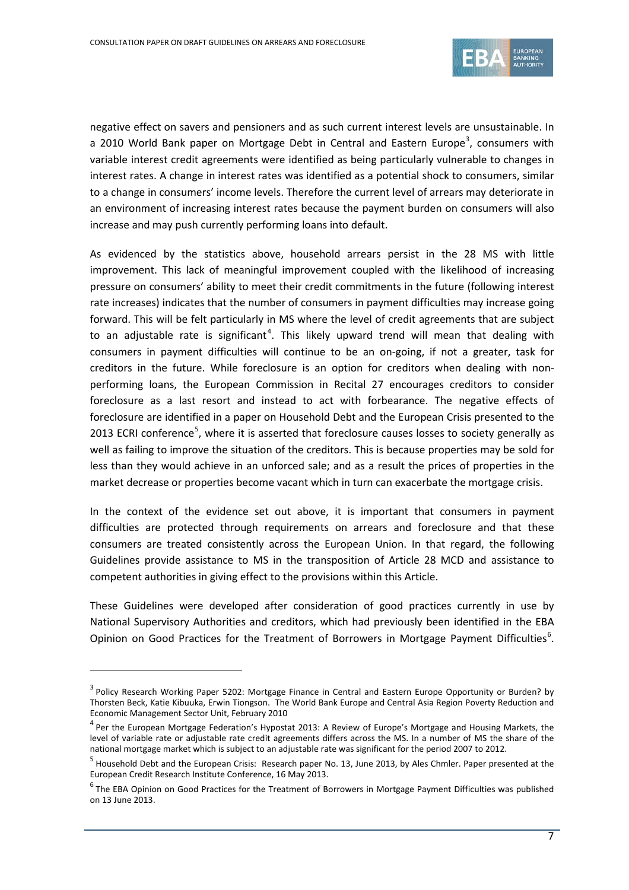

negative effect on savers and pensioners and as such current interest levels are unsustainable. In a 2010 World Bank paper on Mortgage Debt in Central and Eastern Europe<sup>[3](#page-6-0)</sup>, consumers with variable interest credit agreements were identified as being particularly vulnerable to changes in interest rates. A change in interest rates was identified as a potential shock to consumers, similar to a change in consumers' income levels. Therefore the current level of arrears may deteriorate in an environment of increasing interest rates because the payment burden on consumers will also increase and may push currently performing loans into default.

As evidenced by the statistics above, household arrears persist in the 28 MS with little improvement. This lack of meaningful improvement coupled with the likelihood of increasing pressure on consumers' ability to meet their credit commitments in the future (following interest rate increases) indicates that the number of consumers in payment difficulties may increase going forward. This will be felt particularly in MS where the level of credit agreements that are subject to an adjustable rate is significant<sup>[4](#page-6-1)</sup>. This likely upward trend will mean that dealing with consumers in payment difficulties will continue to be an on-going, if not a greater, task for creditors in the future. While foreclosure is an option for creditors when dealing with nonperforming loans, the European Commission in Recital 27 encourages creditors to consider foreclosure as a last resort and instead to act with forbearance. The negative effects of foreclosure are identified in a paper on Household Debt and the European Crisis presented to the 2013 ECRI conference<sup>[5](#page-6-2)</sup>, where it is asserted that foreclosure causes losses to society generally as well as failing to improve the situation of the creditors. This is because properties may be sold for less than they would achieve in an unforced sale; and as a result the prices of properties in the market decrease or properties become vacant which in turn can exacerbate the mortgage crisis.

In the context of the evidence set out above, it is important that consumers in payment difficulties are protected through requirements on arrears and foreclosure and that these consumers are treated consistently across the European Union. In that regard, the following Guidelines provide assistance to MS in the transposition of Article 28 MCD and assistance to competent authorities in giving effect to the provisions within this Article.

These Guidelines were developed after consideration of good practices currently in use by National Supervisory Authorities and creditors, which had previously been identified in the EBA Opinion on Good Practices for the Treatment of Borrowers in Mortgage Payment Difficulties<sup>[6](#page-6-3)</sup>.

j

<span id="page-6-0"></span><sup>&</sup>lt;sup>3</sup> Policy Research Working Paper 5202: Mortgage Finance in Central and Eastern Europe Opportunity or Burden? by Thorsten Beck, Katie Kibuuka, Erwin Tiongson. The World Bank Europe and Central Asia Region Poverty Reduction and Economic Management Sector Unit, February 2010

<span id="page-6-1"></span><sup>&</sup>lt;sup>4</sup> Per the European Mortgage Federation's Hypostat 2013: A Review of Europe's Mortgage and Housing Markets, the level of variable rate or adjustable rate credit agreements differs across the MS. In a number of MS the share of the national mortgage market which is subject to an adjustable rate was significant for the period 2007 to 2012.

<span id="page-6-2"></span><sup>5</sup> Household Debt and the European Crisis: Research paper No. 13, June 2013, by Ales Chmler. Paper presented at the European Credit Research Institute Conference, 16 May 2013.

<span id="page-6-3"></span> $6$  The EBA Opinion on Good Practices for the Treatment of Borrowers in Mortgage Payment Difficulties was published on 13 June 2013.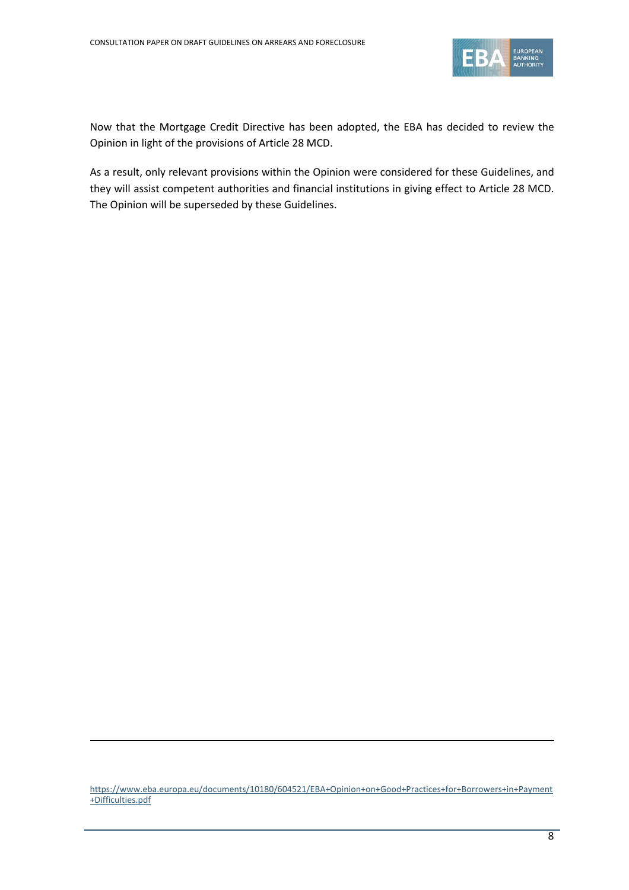

Now that the Mortgage Credit Directive has been adopted, the EBA has decided to review the Opinion in light of the provisions of Article 28 MCD.

As a result, only relevant provisions within the Opinion were considered for these Guidelines, and they will assist competent authorities and financial institutions in giving effect to Article 28 MCD. The Opinion will be superseded by these Guidelines.

[https://www.eba.europa.eu/documents/10180/604521/EBA+Opinion+on+Good+Practices+for+Borrowers+in+Payment](https://www.eba.europa.eu/documents/10180/604521/EBA+Opinion+on+Good+Practices+for+Borrowers+in+Payment+Difficulties.pdf) [+Difficulties.pdf](https://www.eba.europa.eu/documents/10180/604521/EBA+Opinion+on+Good+Practices+for+Borrowers+in+Payment+Difficulties.pdf)

**.**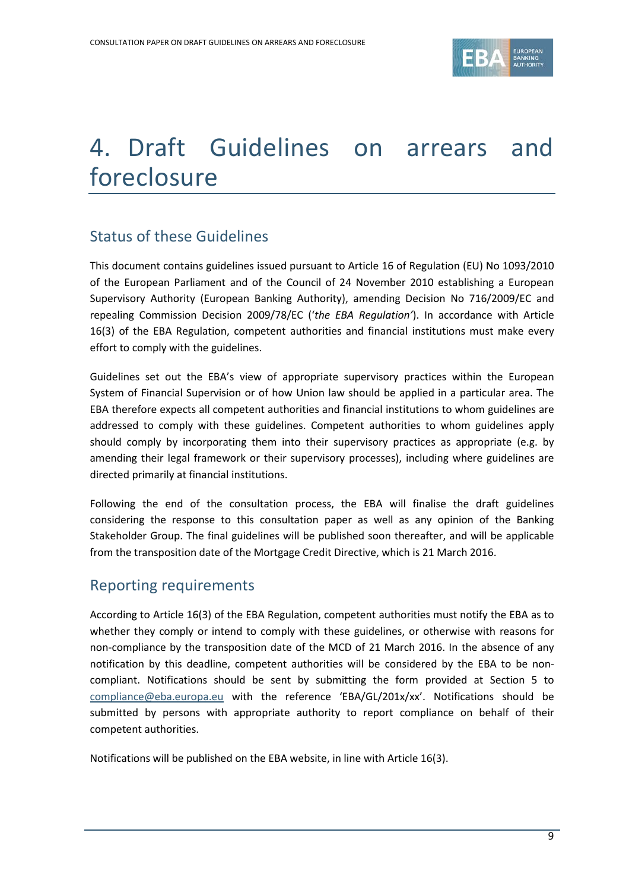

# 4. Draft Guidelines on arrears and foreclosure

# Status of these Guidelines

This document contains guidelines issued pursuant to Article 16 of Regulation (EU) No 1093/2010 of the European Parliament and of the Council of 24 November 2010 establishing a European Supervisory Authority (European Banking Authority), amending Decision No 716/2009/EC and repealing Commission Decision 2009/78/EC ('*the EBA Regulation'*). In accordance with Article 16(3) of the EBA Regulation, competent authorities and financial institutions must make every effort to comply with the guidelines.

Guidelines set out the EBA's view of appropriate supervisory practices within the European System of Financial Supervision or of how Union law should be applied in a particular area. The EBA therefore expects all competent authorities and financial institutions to whom guidelines are addressed to comply with these guidelines. Competent authorities to whom guidelines apply should comply by incorporating them into their supervisory practices as appropriate (e.g. by amending their legal framework or their supervisory processes), including where guidelines are directed primarily at financial institutions.

Following the end of the consultation process, the EBA will finalise the draft guidelines considering the response to this consultation paper as well as any opinion of the Banking Stakeholder Group. The final guidelines will be published soon thereafter, and will be applicable from the transposition date of the Mortgage Credit Directive, which is 21 March 2016.

## Reporting requirements

According to Article 16(3) of the EBA Regulation, competent authorities must notify the EBA as to whether they comply or intend to comply with these guidelines, or otherwise with reasons for non-compliance by the transposition date of the MCD of 21 March 2016. In the absence of any notification by this deadline, competent authorities will be considered by the EBA to be noncompliant. Notifications should be sent by submitting the form provided at Section 5 to [compliance@eba.europa.eu](mailto:compliance@eba.europa.eu) with the reference 'EBA/GL/201x/xx'. Notifications should be submitted by persons with appropriate authority to report compliance on behalf of their competent authorities.

Notifications will be published on the EBA website, in line with Article 16(3).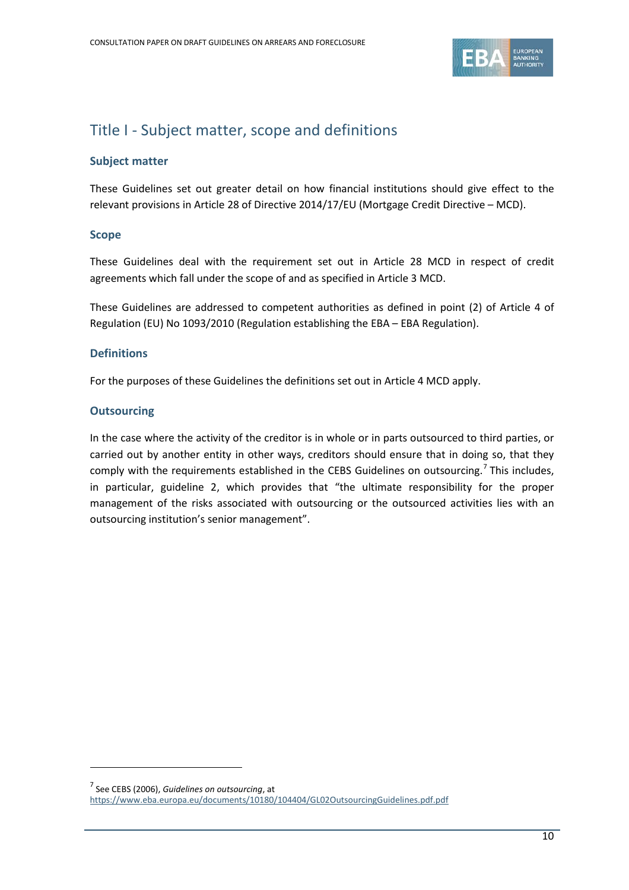

# Title I - Subject matter, scope and definitions

## **Subject matter**

These Guidelines set out greater detail on how financial institutions should give effect to the relevant provisions in Article 28 of Directive 2014/17/EU (Mortgage Credit Directive – MCD).

## **Scope**

These Guidelines deal with the requirement set out in Article 28 MCD in respect of credit agreements which fall under the scope of and as specified in Article 3 MCD.

These Guidelines are addressed to competent authorities as defined in point (2) of Article 4 of Regulation (EU) No 1093/2010 (Regulation establishing the EBA – EBA Regulation).

## **Definitions**

For the purposes of these Guidelines the definitions set out in Article 4 MCD apply.

## **Outsourcing**

 $\overline{a}$ 

In the case where the activity of the creditor is in whole or in parts outsourced to third parties, or carried out by another entity in other ways, creditors should ensure that in doing so, that they comply with the requirements established in the CEBS Guidelines on outsourcing.<sup>[7](#page-9-0)</sup> This includes, in particular, guideline 2, which provides that "the ultimate responsibility for the proper management of the risks associated with outsourcing or the outsourced activities lies with an outsourcing institution's senior management".

<span id="page-9-0"></span><sup>7</sup> See CEBS (2006), *Guidelines on outsourcing*, at <https://www.eba.europa.eu/documents/10180/104404/GL02OutsourcingGuidelines.pdf.pdf>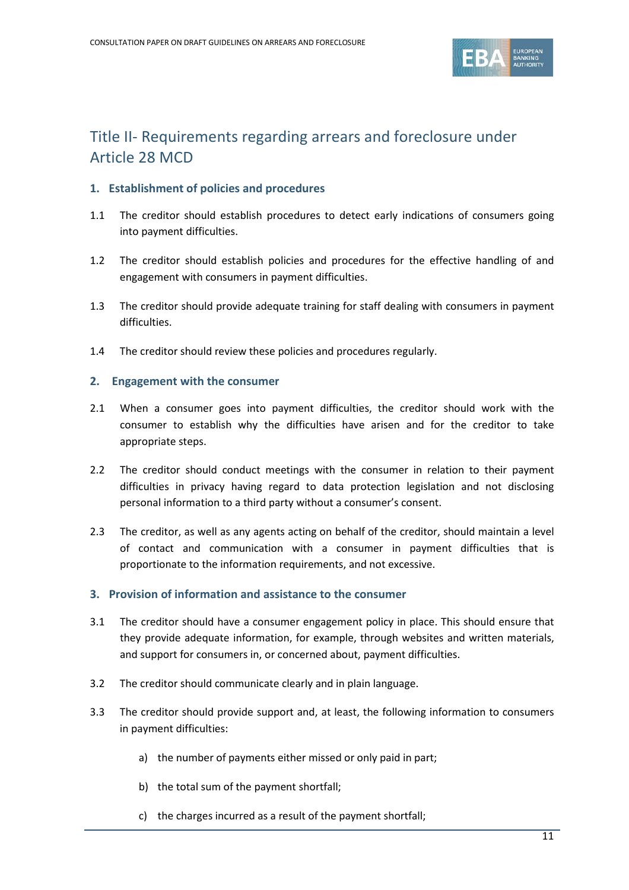

# Title II- Requirements regarding arrears and foreclosure under Article 28 MCD

## **1. Establishment of policies and procedures**

- 1.1 The creditor should establish procedures to detect early indications of consumers going into payment difficulties.
- 1.2 The creditor should establish policies and procedures for the effective handling of and engagement with consumers in payment difficulties.
- 1.3 The creditor should provide adequate training for staff dealing with consumers in payment difficulties.
- 1.4 The creditor should review these policies and procedures regularly.

## **2. Engagement with the consumer**

- 2.1 When a consumer goes into payment difficulties, the creditor should work with the consumer to establish why the difficulties have arisen and for the creditor to take appropriate steps.
- 2.2 The creditor should conduct meetings with the consumer in relation to their payment difficulties in privacy having regard to data protection legislation and not disclosing personal information to a third party without a consumer's consent.
- 2.3 The creditor, as well as any agents acting on behalf of the creditor, should maintain a level of contact and communication with a consumer in payment difficulties that is proportionate to the information requirements, and not excessive.

#### **3. Provision of information and assistance to the consumer**

- 3.1 The creditor should have a consumer engagement policy in place. This should ensure that they provide adequate information, for example, through websites and written materials, and support for consumers in, or concerned about, payment difficulties.
- 3.2 The creditor should communicate clearly and in plain language.
- 3.3 The creditor should provide support and, at least, the following information to consumers in payment difficulties:
	- a) the number of payments either missed or only paid in part;
	- b) the total sum of the payment shortfall;
	- c) the charges incurred as a result of the payment shortfall;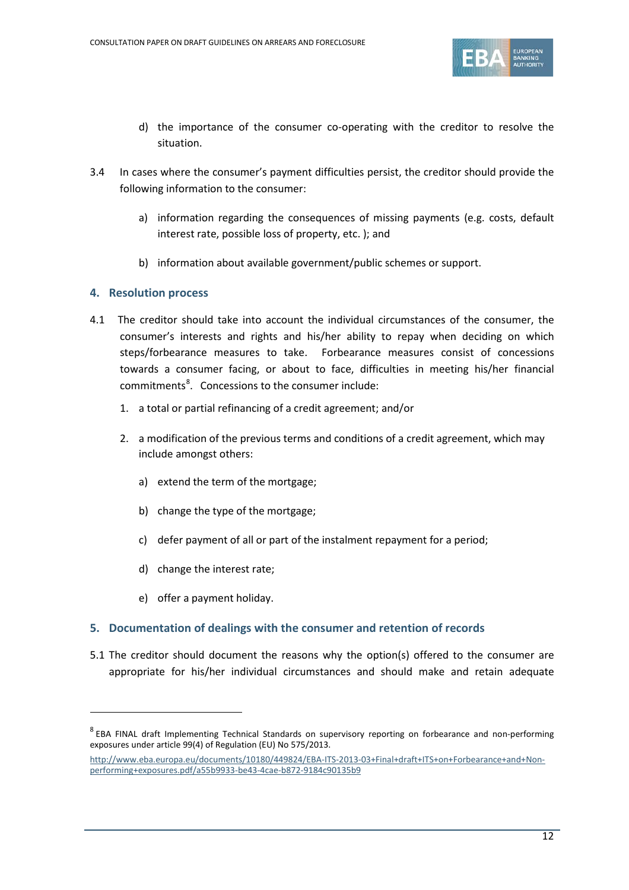

- d) the importance of the consumer co-operating with the creditor to resolve the situation.
- 3.4 In cases where the consumer's payment difficulties persist, the creditor should provide the following information to the consumer:
	- a) information regarding the consequences of missing payments (e.g. costs, default interest rate, possible loss of property, etc. ); and
	- b) information about available government/public schemes or support.

## **4. Resolution process**

- 4.1 The creditor should take into account the individual circumstances of the consumer, the consumer's interests and rights and his/her ability to repay when deciding on which steps/forbearance measures to take. Forbearance measures consist of concessions towards a consumer facing, or about to face, difficulties in meeting his/her financial commitments<sup>[8](#page-11-0)</sup>. Concessions to the consumer include:
	- 1. a total or partial refinancing of a credit agreement; and/or
	- 2. a modification of the previous terms and conditions of a credit agreement, which may include amongst others:
		- a) extend the term of the mortgage;
		- b) change the type of the mortgage;
		- c) defer payment of all or part of the instalment repayment for a period;
		- d) change the interest rate;
		- e) offer a payment holiday.

 $\overline{a}$ 

## **5. Documentation of dealings with the consumer and retention of records**

5.1 The creditor should document the reasons why the option(s) offered to the consumer are appropriate for his/her individual circumstances and should make and retain adequate

<span id="page-11-0"></span><sup>&</sup>lt;sup>8</sup> EBA FINAL draft Implementing Technical Standards on supervisory reporting on forbearance and non-performing exposures under article 99(4) of Regulation (EU) No 575/2013.

[http://www.eba.europa.eu/documents/10180/449824/EBA-ITS-2013-03+Final+draft+ITS+on+Forbearance+and+Non](http://www.eba.europa.eu/documents/10180/449824/EBA-ITS-2013-03+Final+draft+ITS+on+Forbearance+and+Non-performing+exposures.pdf/a55b9933-be43-4cae-b872-9184c90135b9)[performing+exposures.pdf/a55b9933-be43-4cae-b872-9184c90135b9](http://www.eba.europa.eu/documents/10180/449824/EBA-ITS-2013-03+Final+draft+ITS+on+Forbearance+and+Non-performing+exposures.pdf/a55b9933-be43-4cae-b872-9184c90135b9)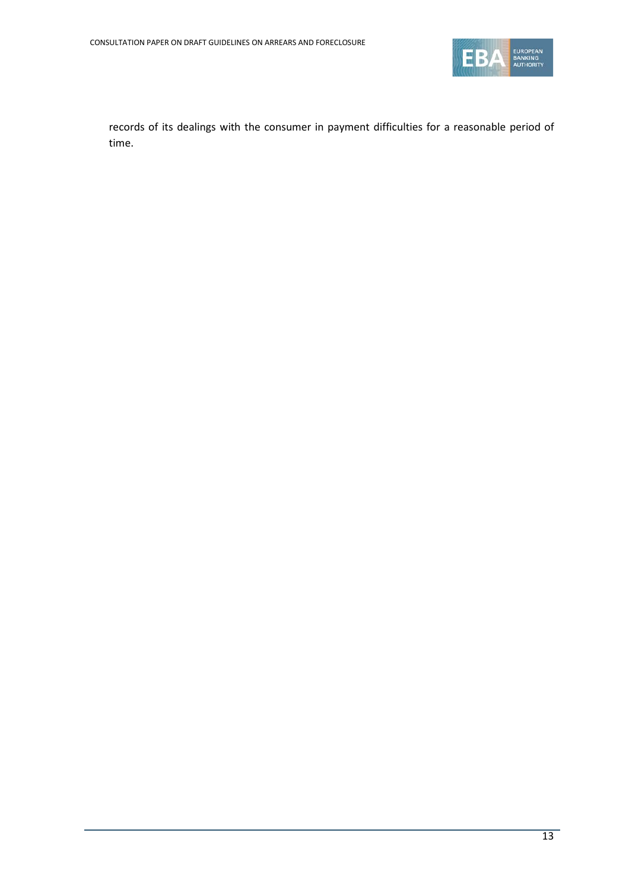

records of its dealings with the consumer in payment difficulties for a reasonable period of time.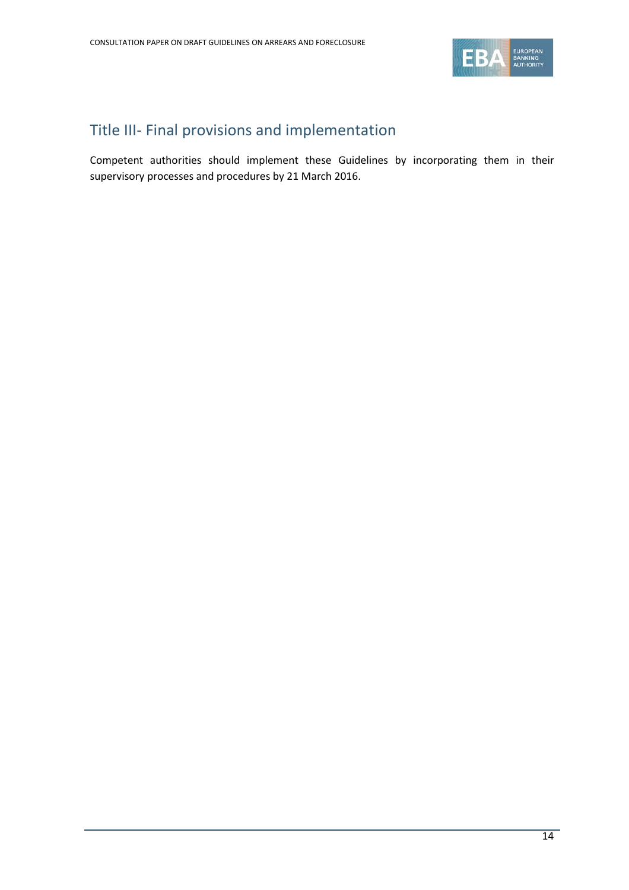

# Title III- Final provisions and implementation

Competent authorities should implement these Guidelines by incorporating them in their supervisory processes and procedures by 21 March 2016.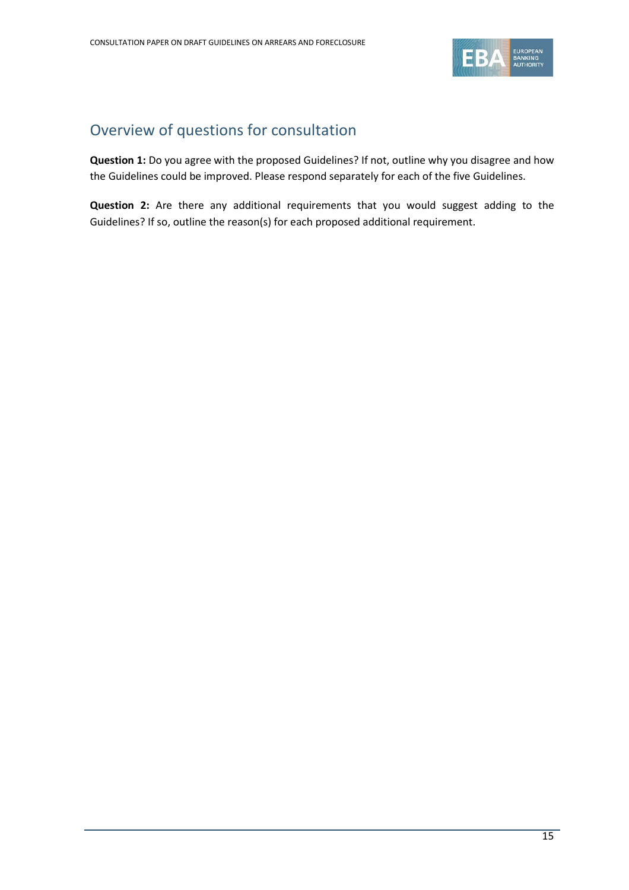

# Overview of questions for consultation

**Question 1:** Do you agree with the proposed Guidelines? If not, outline why you disagree and how the Guidelines could be improved. Please respond separately for each of the five Guidelines.

**Question 2:** Are there any additional requirements that you would suggest adding to the Guidelines? If so, outline the reason(s) for each proposed additional requirement.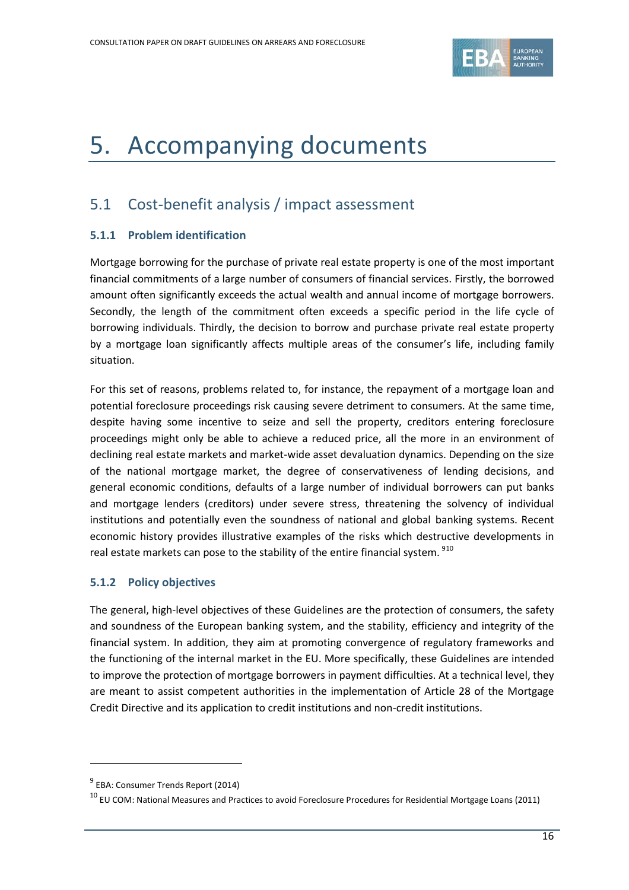

# 5. Accompanying documents

# 5.1 Cost-benefit analysis / impact assessment

## **5.1.1 Problem identification**

Mortgage borrowing for the purchase of private real estate property is one of the most important financial commitments of a large number of consumers of financial services. Firstly, the borrowed amount often significantly exceeds the actual wealth and annual income of mortgage borrowers. Secondly, the length of the commitment often exceeds a specific period in the life cycle of borrowing individuals. Thirdly, the decision to borrow and purchase private real estate property by a mortgage loan significantly affects multiple areas of the consumer's life, including family situation.

For this set of reasons, problems related to, for instance, the repayment of a mortgage loan and potential foreclosure proceedings risk causing severe detriment to consumers. At the same time, despite having some incentive to seize and sell the property, creditors entering foreclosure proceedings might only be able to achieve a reduced price, all the more in an environment of declining real estate markets and market-wide asset devaluation dynamics. Depending on the size of the national mortgage market, the degree of conservativeness of lending decisions, and general economic conditions, defaults of a large number of individual borrowers can put banks and mortgage lenders (creditors) under severe stress, threatening the solvency of individual institutions and potentially even the soundness of national and global banking systems. Recent economic history provides illustrative examples of the risks which destructive developments in real estate markets can pose to the stability of the entire financial system. <sup>[9](#page-15-0)[10](#page-15-1)</sup>

## **5.1.2 Policy objectives**

The general, high-level objectives of these Guidelines are the protection of consumers, the safety and soundness of the European banking system, and the stability, efficiency and integrity of the financial system. In addition, they aim at promoting convergence of regulatory frameworks and the functioning of the internal market in the EU. More specifically, these Guidelines are intended to improve the protection of mortgage borrowers in payment difficulties. At a technical level, they are meant to assist competent authorities in the implementation of Article 28 of the Mortgage Credit Directive and its application to credit institutions and non-credit institutions.

 $\overline{a}$ 

<span id="page-15-0"></span> $9$  EBA: Consumer Trends Report (2014)

<span id="page-15-1"></span> $^{10}$  EU COM: National Measures and Practices to avoid Foreclosure Procedures for Residential Mortgage Loans (2011)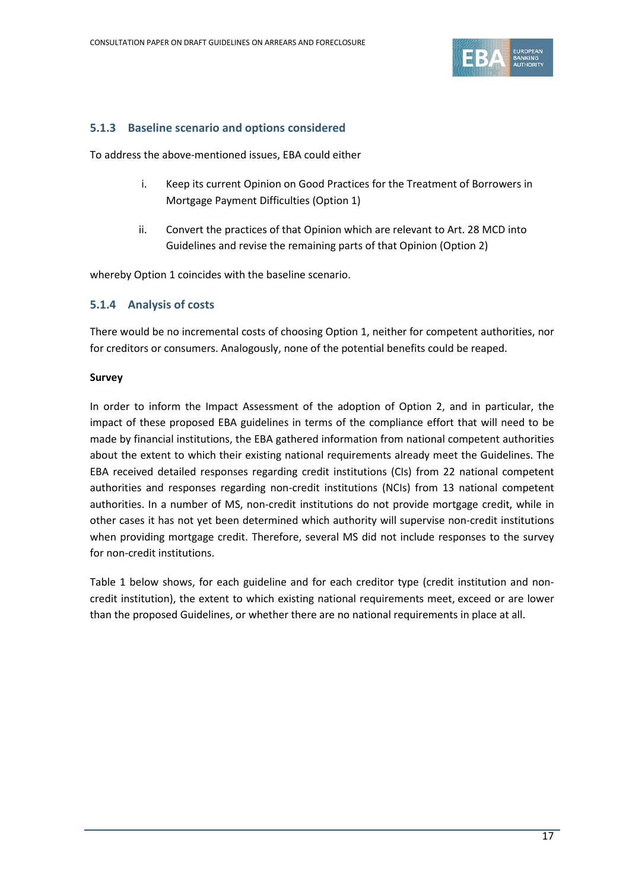

## **5.1.3 Baseline scenario and options considered**

To address the above-mentioned issues, EBA could either

- i. Keep its current Opinion on Good Practices for the Treatment of Borrowers in Mortgage Payment Difficulties (Option 1)
- ii. Convert the practices of that Opinion which are relevant to Art. 28 MCD into Guidelines and revise the remaining parts of that Opinion (Option 2)

whereby Option 1 coincides with the baseline scenario.

## **5.1.4 Analysis of costs**

There would be no incremental costs of choosing Option 1, neither for competent authorities, nor for creditors or consumers. Analogously, none of the potential benefits could be reaped.

#### **Survey**

In order to inform the Impact Assessment of the adoption of Option 2, and in particular, the impact of these proposed EBA guidelines in terms of the compliance effort that will need to be made by financial institutions, the EBA gathered information from national competent authorities about the extent to which their existing national requirements already meet the Guidelines. The EBA received detailed responses regarding credit institutions (CIs) from 22 national competent authorities and responses regarding non-credit institutions (NCIs) from 13 national competent authorities. In a number of MS, non-credit institutions do not provide mortgage credit, while in other cases it has not yet been determined which authority will supervise non-credit institutions when providing mortgage credit. Therefore, several MS did not include responses to the survey for non-credit institutions.

Table 1 below shows, for each guideline and for each creditor type (credit institution and noncredit institution), the extent to which existing national requirements meet, exceed or are lower than the proposed Guidelines, or whether there are no national requirements in place at all.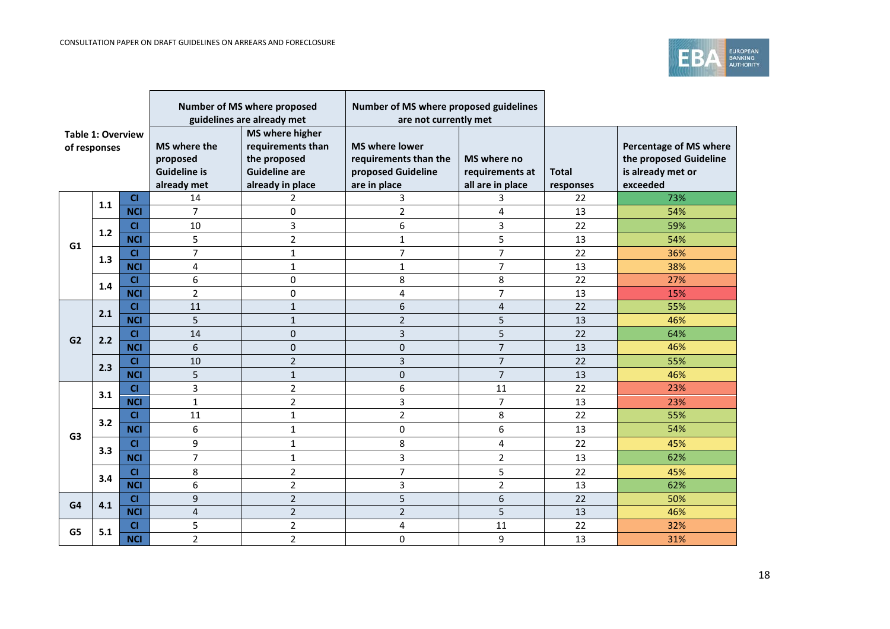

| <b>Table 1: Overview</b><br>of responses |       |            | Number of MS where proposed<br>guidelines are already met      |                                                                                                         | Number of MS where proposed guidelines<br>are not currently met                      |                                                    |                           |                                                                                          |
|------------------------------------------|-------|------------|----------------------------------------------------------------|---------------------------------------------------------------------------------------------------------|--------------------------------------------------------------------------------------|----------------------------------------------------|---------------------------|------------------------------------------------------------------------------------------|
|                                          |       |            | MS where the<br>proposed<br><b>Guideline is</b><br>already met | <b>MS where higher</b><br>requirements than<br>the proposed<br><b>Guideline are</b><br>already in place | <b>MS where lower</b><br>requirements than the<br>proposed Guideline<br>are in place | MS where no<br>requirements at<br>all are in place | <b>Total</b><br>responses | <b>Percentage of MS where</b><br>the proposed Guideline<br>is already met or<br>exceeded |
|                                          | 1.1   | CI         | 14                                                             | 2                                                                                                       | 3                                                                                    | 3                                                  | 22                        | 73%                                                                                      |
|                                          |       | <b>NCI</b> | $\overline{7}$                                                 | 0                                                                                                       | $\overline{2}$                                                                       | 4                                                  | 13                        | 54%                                                                                      |
|                                          | $1.2$ | CI         | 10                                                             | 3                                                                                                       | 6                                                                                    | 3                                                  | 22                        | 59%                                                                                      |
| G1                                       |       | <b>NCI</b> | 5                                                              | $\overline{2}$                                                                                          | $\mathbf{1}$                                                                         | 5                                                  | 13                        | 54%                                                                                      |
|                                          | 1.3   | <b>CI</b>  | $\overline{7}$                                                 | $\mathbf{1}$                                                                                            | $\overline{7}$                                                                       | $\overline{7}$                                     | 22                        | 36%                                                                                      |
|                                          |       | <b>NCI</b> | 4                                                              | $\mathbf{1}$                                                                                            | $\mathbf{1}$                                                                         | $\overline{7}$                                     | 13                        | 38%                                                                                      |
|                                          | 1.4   | CI         | 6                                                              | $\mathbf 0$                                                                                             | 8                                                                                    | 8                                                  | 22                        | 27%                                                                                      |
|                                          |       | <b>NCI</b> | $\overline{2}$                                                 | $\mathbf 0$                                                                                             | 4                                                                                    | $\overline{7}$                                     | 13                        | 15%                                                                                      |
|                                          | 2.1   | CI         | 11                                                             | $\mathbf{1}$                                                                                            | 6                                                                                    | $\overline{4}$                                     | 22                        | 55%                                                                                      |
|                                          |       | <b>NCI</b> | 5                                                              | $\mathbf{1}$                                                                                            | $\overline{2}$                                                                       | 5                                                  | 13                        | 46%                                                                                      |
| G2                                       | 2.2   | C1         | 14                                                             | $\mathbf{0}$                                                                                            | 3                                                                                    | 5                                                  | 22                        | 64%                                                                                      |
|                                          |       | <b>NCI</b> | 6                                                              | $\overline{0}$                                                                                          | 0                                                                                    | $\overline{7}$                                     | 13                        | 46%                                                                                      |
|                                          | 2.3   | C1         | 10                                                             | $\overline{2}$                                                                                          | 3                                                                                    | $\overline{7}$                                     | 22                        | 55%                                                                                      |
|                                          |       | <b>NCI</b> | 5                                                              | $\mathbf{1}$                                                                                            | $\pmb{0}$                                                                            | $\overline{7}$                                     | 13                        | 46%                                                                                      |
|                                          | 3.1   | CI         | 3                                                              | $\overline{2}$                                                                                          | 6                                                                                    | 11                                                 | 22                        | 23%                                                                                      |
|                                          |       | <b>NCI</b> | $\mathbf{1}$                                                   | $\overline{2}$                                                                                          | 3                                                                                    | $\overline{7}$                                     | 13                        | 23%                                                                                      |
|                                          | 3.2   | <b>CI</b>  | 11                                                             | $\mathbf{1}$                                                                                            | $\overline{2}$                                                                       | 8                                                  | 22                        | 55%                                                                                      |
| G <sub>3</sub>                           |       | <b>NCI</b> | 6                                                              | $\mathbf{1}$                                                                                            | 0                                                                                    | 6                                                  | 13                        | 54%                                                                                      |
|                                          | 3.3   | CI         | 9                                                              | $\mathbf{1}$                                                                                            | 8                                                                                    | 4                                                  | 22                        | 45%                                                                                      |
|                                          |       | <b>NCI</b> | $\overline{7}$                                                 | $\mathbf{1}$                                                                                            | 3                                                                                    | $\overline{2}$                                     | 13                        | 62%                                                                                      |
|                                          | 3.4   | CI         | 8                                                              | $\overline{2}$                                                                                          | $\overline{7}$                                                                       | 5                                                  | 22                        | 45%                                                                                      |
|                                          |       | <b>NCI</b> | 6                                                              | $\overline{2}$                                                                                          | 3                                                                                    | $\overline{2}$                                     | 13                        | 62%                                                                                      |
| G4                                       | 4.1   | CI         | 9                                                              | $\overline{2}$                                                                                          | 5                                                                                    | 6                                                  | 22                        | 50%                                                                                      |
|                                          |       | <b>NCI</b> | $\overline{\mathbf{4}}$                                        | $\overline{2}$                                                                                          | $\overline{2}$                                                                       | 5                                                  | 13                        | 46%                                                                                      |
| G5                                       | 5.1   | CI         | 5                                                              | $\overline{2}$                                                                                          | 4                                                                                    | 11                                                 | 22                        | 32%                                                                                      |
|                                          |       | <b>NCI</b> | $\overline{2}$                                                 | $\overline{2}$                                                                                          | 0                                                                                    | 9                                                  | 13                        | 31%                                                                                      |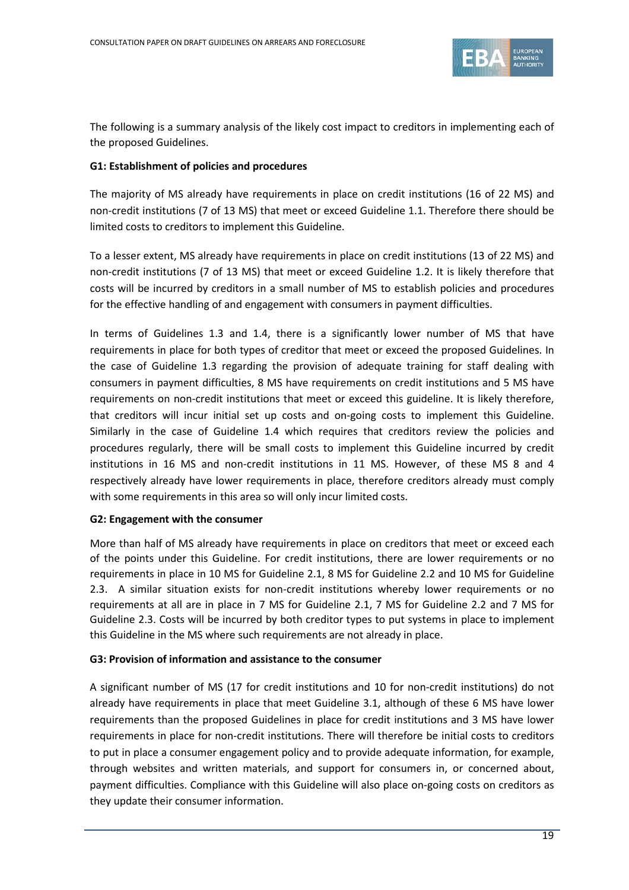

The following is a summary analysis of the likely cost impact to creditors in implementing each of the proposed Guidelines.

#### **G1: Establishment of policies and procedures**

The majority of MS already have requirements in place on credit institutions (16 of 22 MS) and non-credit institutions (7 of 13 MS) that meet or exceed Guideline 1.1. Therefore there should be limited costs to creditors to implement this Guideline.

To a lesser extent, MS already have requirements in place on credit institutions (13 of 22 MS) and non-credit institutions (7 of 13 MS) that meet or exceed Guideline 1.2. It is likely therefore that costs will be incurred by creditors in a small number of MS to establish policies and procedures for the effective handling of and engagement with consumers in payment difficulties.

In terms of Guidelines 1.3 and 1.4, there is a significantly lower number of MS that have requirements in place for both types of creditor that meet or exceed the proposed Guidelines. In the case of Guideline 1.3 regarding the provision of adequate training for staff dealing with consumers in payment difficulties, 8 MS have requirements on credit institutions and 5 MS have requirements on non-credit institutions that meet or exceed this guideline. It is likely therefore, that creditors will incur initial set up costs and on-going costs to implement this Guideline. Similarly in the case of Guideline 1.4 which requires that creditors review the policies and procedures regularly, there will be small costs to implement this Guideline incurred by credit institutions in 16 MS and non-credit institutions in 11 MS. However, of these MS 8 and 4 respectively already have lower requirements in place, therefore creditors already must comply with some requirements in this area so will only incur limited costs.

#### **G2: Engagement with the consumer**

More than half of MS already have requirements in place on creditors that meet or exceed each of the points under this Guideline. For credit institutions, there are lower requirements or no requirements in place in 10 MS for Guideline 2.1, 8 MS for Guideline 2.2 and 10 MS for Guideline 2.3. A similar situation exists for non-credit institutions whereby lower requirements or no requirements at all are in place in 7 MS for Guideline 2.1, 7 MS for Guideline 2.2 and 7 MS for Guideline 2.3. Costs will be incurred by both creditor types to put systems in place to implement this Guideline in the MS where such requirements are not already in place.

#### **G3: Provision of information and assistance to the consumer**

A significant number of MS (17 for credit institutions and 10 for non-credit institutions) do not already have requirements in place that meet Guideline 3.1, although of these 6 MS have lower requirements than the proposed Guidelines in place for credit institutions and 3 MS have lower requirements in place for non-credit institutions. There will therefore be initial costs to creditors to put in place a consumer engagement policy and to provide adequate information, for example, through websites and written materials, and support for consumers in, or concerned about, payment difficulties. Compliance with this Guideline will also place on-going costs on creditors as they update their consumer information.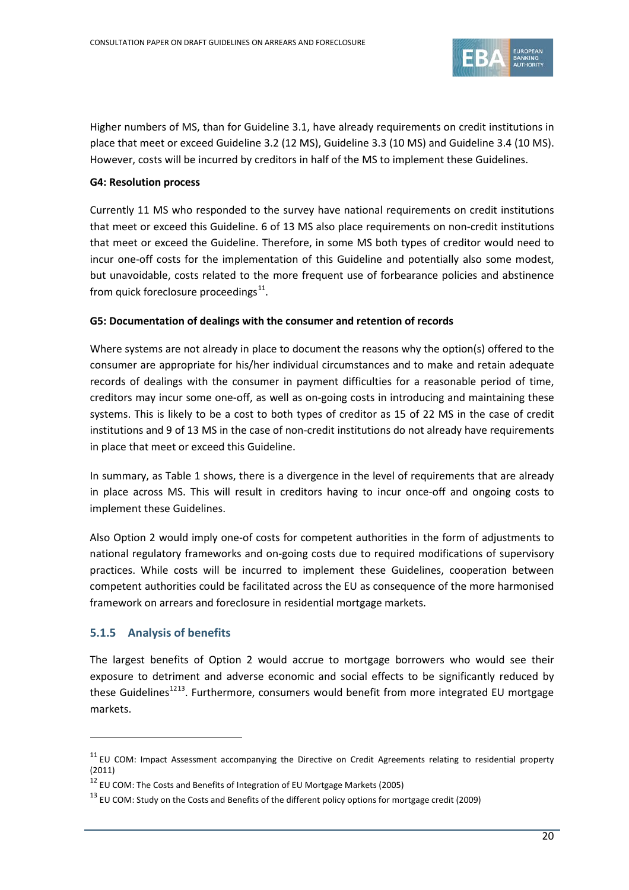

Higher numbers of MS, than for Guideline 3.1, have already requirements on credit institutions in place that meet or exceed Guideline 3.2 (12 MS), Guideline 3.3 (10 MS) and Guideline 3.4 (10 MS). However, costs will be incurred by creditors in half of the MS to implement these Guidelines.

## **G4: Resolution process**

Currently 11 MS who responded to the survey have national requirements on credit institutions that meet or exceed this Guideline. 6 of 13 MS also place requirements on non-credit institutions that meet or exceed the Guideline. Therefore, in some MS both types of creditor would need to incur one-off costs for the implementation of this Guideline and potentially also some modest, but unavoidable, costs related to the more frequent use of forbearance policies and abstinence from quick foreclosure proceedings $^{11}$  $^{11}$  $^{11}$ .

#### **G5: Documentation of dealings with the consumer and retention of records**

Where systems are not already in place to document the reasons why the option(s) offered to the consumer are appropriate for his/her individual circumstances and to make and retain adequate records of dealings with the consumer in payment difficulties for a reasonable period of time, creditors may incur some one-off, as well as on-going costs in introducing and maintaining these systems. This is likely to be a cost to both types of creditor as 15 of 22 MS in the case of credit institutions and 9 of 13 MS in the case of non-credit institutions do not already have requirements in place that meet or exceed this Guideline.

In summary, as Table 1 shows, there is a divergence in the level of requirements that are already in place across MS. This will result in creditors having to incur once-off and ongoing costs to implement these Guidelines.

Also Option 2 would imply one-of costs for competent authorities in the form of adjustments to national regulatory frameworks and on-going costs due to required modifications of supervisory practices. While costs will be incurred to implement these Guidelines, cooperation between competent authorities could be facilitated across the EU as consequence of the more harmonised framework on arrears and foreclosure in residential mortgage markets.

## **5.1.5 Analysis of benefits**

 $\overline{a}$ 

The largest benefits of Option 2 would accrue to mortgage borrowers who would see their exposure to detriment and adverse economic and social effects to be significantly reduced by these Guidelines<sup>[12](#page-19-1)[13](#page-19-2)</sup>. Furthermore, consumers would benefit from more integrated EU mortgage markets.

<span id="page-19-0"></span><sup>&</sup>lt;sup>11</sup> EU COM: Impact Assessment accompanying the Directive on Credit Agreements relating to residential property (2011)

<span id="page-19-1"></span><sup>12</sup> EU COM: The Costs and Benefits of Integration of EU Mortgage Markets (2005)

<span id="page-19-2"></span> $13$  EU COM: Study on the Costs and Benefits of the different policy options for mortgage credit (2009)